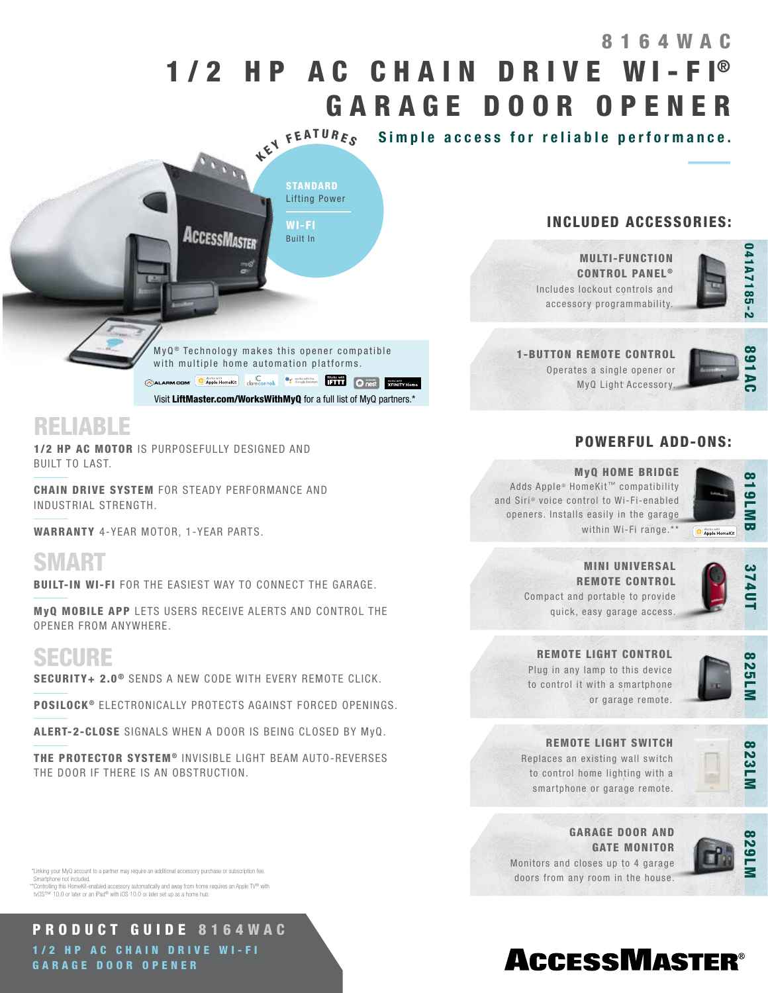# 1/2 HP AC CHAIN DRIVE WI-FI® GARAGE DOOR OPENER 8164WAC

KEY FEATURES Simple access for reliable performance.

INCLUDED ACCESSORIES:



891AC

MULTI-FUNCTION **CONTROL PANEL®** 

Includes lockout controls and accessory programmability.

1-BUTTON REMOTE CONTROL Operates a single opener or MyQ Light Accessory.

## POWERFUL ADD-ONS:



#### MyQ HOME BRIDGE

Adds Apple® HomeKit™ compatibility and Siri® voice control to Wi-Fi-enabled openers. Installs easily in the garage within Wi-Fi range.\*\*



MINI UNIVERSAL REMOTE CONTROL Compact and portable to provide quick, easy garage access.

REMOTE LIGHT CONTROL

Plug in any lamp to this device to control it with a smartphone



or garage remote.



REMOTE LIGHT SWITCH

Replaces an existing wall switch to control home lighting with a smartphone or garage remote.



GARAGE DOOR AND Monitors and closes up to 4 garage



GATE MONITOR

doors from any room in the house.



# **ACCESSMASTER®**

 $MyQ<sup>®</sup>$  Technology makes this opener compatible with multiple home automation platforms. ALARM.COM **C** Apple HomeKit Correcontrols C consideration **Tail C** C C **CALARM.COM** 

STANDARD Lifting Power

WI-FI Built In

Visit LiftMaster.com/WorksWithMyQ for a full list of MyQ partners.\*

RELIABLE

1/2 HP AC MOTOR IS PURPOSEFULLY DESIGNED AND BUILT TO LAST.

CHAIN DRIVE SYSTEM FOR STEADY PERFORMANCE AND INDUSTRIAL STRENGTH.

WARRANTY 4-YEAR MOTOR, 1-YEAR PARTS.

SMART

BUILT-IN WI-FI FOR THE EASIEST WAY TO CONNECT THE GARAGE.

AccessMaster

MyQ MOBILE APP LETS USERS RECEIVE ALERTS AND CONTROL THE OPENER FROM ANYWHERE.

## SECURE

SECURITY+ 2.0<sup>®</sup> SENDS A NEW CODE WITH EVERY REMOTE CLICK.

POSILOCK<sup>®</sup> ELECTRONICALLY PROTECTS AGAINST FORCED OPENINGS.

ALERT-2-CLOSE SIGNALS WHEN A DOOR IS BEING CLOSED BY MyQ.

THE PROTECTOR SYSTEM<sup>®</sup> INVISIBLE LIGHT BEAM AUTO-REVERSES THE DOOR IF THERE IS AN OBSTRUCTION.

 \*Linking your MyQ account to a partner may require an additional accessory purchase or subscription fee. Smartphone not included.

\*\*Controlling this HomeKit-enabled accessory automatically and away from home requires an Apple TV® with<br>tvOS™ 10.0 or later or an iPad® with iOS 10.0 or later set up as a home hub.

PRODUCT GUIDE 8164WAC 1/2 HP AC CHAIN DRIVE WI-FI GARAGE DOOR OPENER